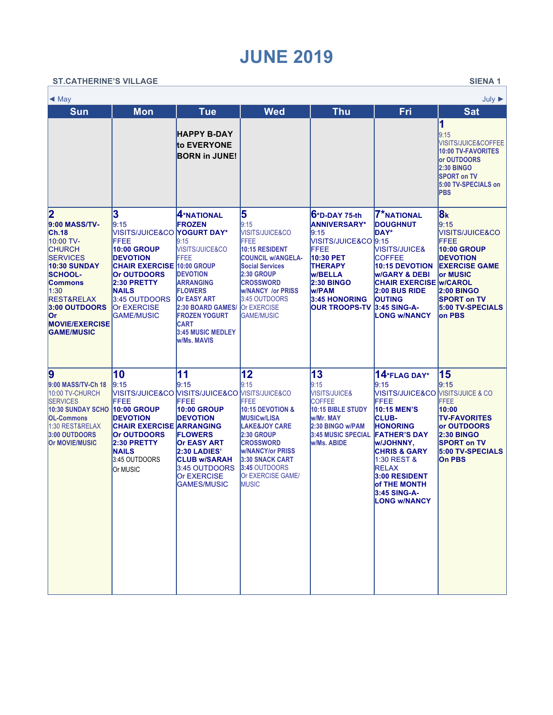## **JUNE 2019**

| <b>ST.CATHERINE'S VILLAGE</b><br><b>SIENA1</b>                                                                                                                                                                                                                |                                                                                                                                                                                                                              |                                                                                                                                                                                                                                                                                |                                                                                                                                                                                                                                                                 |                                                                                                                                                                                                                |                                                                                                                                                                                                                                                                                                          |                                                                                                                                                                                                                             |  |  |  |  |  |
|---------------------------------------------------------------------------------------------------------------------------------------------------------------------------------------------------------------------------------------------------------------|------------------------------------------------------------------------------------------------------------------------------------------------------------------------------------------------------------------------------|--------------------------------------------------------------------------------------------------------------------------------------------------------------------------------------------------------------------------------------------------------------------------------|-----------------------------------------------------------------------------------------------------------------------------------------------------------------------------------------------------------------------------------------------------------------|----------------------------------------------------------------------------------------------------------------------------------------------------------------------------------------------------------------|----------------------------------------------------------------------------------------------------------------------------------------------------------------------------------------------------------------------------------------------------------------------------------------------------------|-----------------------------------------------------------------------------------------------------------------------------------------------------------------------------------------------------------------------------|--|--|--|--|--|
| $\triangleleft$ May<br>July $\blacktriangleright$                                                                                                                                                                                                             |                                                                                                                                                                                                                              |                                                                                                                                                                                                                                                                                |                                                                                                                                                                                                                                                                 |                                                                                                                                                                                                                |                                                                                                                                                                                                                                                                                                          |                                                                                                                                                                                                                             |  |  |  |  |  |
| <b>Sun</b>                                                                                                                                                                                                                                                    | <b>Mon</b>                                                                                                                                                                                                                   | <b>Tue</b>                                                                                                                                                                                                                                                                     | <b>Wed</b>                                                                                                                                                                                                                                                      | <b>Thu</b>                                                                                                                                                                                                     | Fri                                                                                                                                                                                                                                                                                                      | <b>Sat</b>                                                                                                                                                                                                                  |  |  |  |  |  |
|                                                                                                                                                                                                                                                               |                                                                                                                                                                                                                              | <b>HAPPY B-DAY</b><br>to EVERYONE<br><b>BORN in JUNE!</b>                                                                                                                                                                                                                      |                                                                                                                                                                                                                                                                 |                                                                                                                                                                                                                |                                                                                                                                                                                                                                                                                                          | 1<br>9:15<br><b>VISITS/JUICE&amp;COFFEE</b><br>10:00 TV-FAVORITES<br><b>or OUTDOORS</b><br><b>2:30 BINGO</b><br><b>SPORT on TV</b><br>5:00 TV-SPECIALS on<br><b>IPBS</b>                                                    |  |  |  |  |  |
| $\overline{\mathbf{2}}$<br>9:00 MASS/TV-<br>Ch.18<br>10:00 TV-<br><b>CHURCH</b><br><b>SERVICES</b><br>10:30 SUNDAY<br><b>SCHOOL-</b><br><b>Commons</b><br>1:30<br><b>REST&amp;RELAX</b><br>3:00 OUTDOORS<br>lOr<br><b>MOVIE/EXERCISE</b><br><b>GAME/MUSIC</b> | 3<br>9:15<br>VISITS/JUICE&CO<br>FFEE<br><b>10:00 GROUP</b><br><b>DEVOTION</b><br><b>CHAIR EXERCISE 10:00 GROUP</b><br><b>Or OUTDOORS</b><br>2:30 PRETTY<br><b>NAILS</b><br>3:45 OUTDOORS<br>Or EXERCISE<br><b>GAME/MUSIC</b> | 4*NATIONAL<br><b>FROZEN</b><br><b>YOGURT DAY*</b><br>9:15<br><b>VISITS/JUICE&amp;CO</b><br>FFEE<br><b>DEVOTION</b><br><b>ARRANGING</b><br><b>FLOWERS</b><br>Or EASY ART<br>2:30 BOARD GAMES/<br><b>FROZEN YOGURT</b><br><b>CART</b><br><b>3:45 MUSIC MEDLEY</b><br>w/Ms. MAVIS | 5<br>9:15<br><b>VISITS/JUICE&amp;CO</b><br><b>FFEE</b><br>10:15 RESIDENT<br><b>COUNCIL W/ANGELA-</b><br><b>Social Services</b><br><b>2:30 GROUP</b><br><b>CROSSWORD</b><br><b>w/NANCY /or PRISS</b><br>3:45 OUTDOORS<br><b>Or EXERCISE</b><br><b>GAME/MUSIC</b> | $6$ *D-DAY 75-th<br><b>ANNIVERSARY*</b><br>9:15<br>VISITS/JUICE&CO 9:15<br>FFEE<br>10:30 PET<br><b>THERAPY</b><br><b>w/BELLA</b><br><b>2:30 BINGO</b><br>w/PAM<br><b>3:45 HONORING</b><br><b>OUR TROOPS-TV</b> | <b>7*NATIONAL</b><br><b>DOUGHNUT</b><br><b>DAY*</b><br>VISITS/JUICE&<br><b>COFFEE</b><br><b>10:15 DEVOTION</b><br><b>W/GARY &amp; DEBI</b><br><b>CHAIR EXERCISE W/CAROL</b><br>2:00 BUS RIDE<br><b>OUTING</b><br>3:45 SING-A-<br><b>LONG w/NANCY</b>                                                     | 8 <sub>k</sub><br>9:15<br><b>VISITS/JUICE&amp;CO</b><br><b>FFEE</b><br><b>10:00 GROUP</b><br><b>DEVOTION</b><br><b>EXERCISE GAME</b><br>lor MUSIC<br><b>2:00 BINGO</b><br><b>SPORT on TV</b><br>5:00 TV-SPECIALS<br>lon PBS |  |  |  |  |  |
| $\boldsymbol{9}$<br>9:00 MASS/TV-Ch 18<br>10:00 TV-CHURCH<br><b>SERVICES</b><br>10:30 SUNDAY SCHO<br><b>OL-Commons</b><br>1:30 REST&RELAX<br>3:00 OUTDOORS<br><b>Or MOVIE/MUSIC</b>                                                                           | 10<br>9:15<br>FFEE<br><b>10:00 GROUP</b><br><b>IDEVOTION</b><br><b>CHAIR EXERCISE ARRANGING</b><br><b>Or OUTDOORS</b><br>2:30 PRETTY<br><b>NAILS</b><br>3:45 OUTDOORS<br>Or MUSIC                                            | 11<br>l9:15<br>MISITS/JUICE&CO [VISITS/JUICE&CO [VISITS/JUICE&CO<br>FFEE<br>10:00 GROUP<br><b>DEVOTION</b><br><b>FLOWERS</b><br><b>Or EASY ART</b><br>2:30 LADIES'<br><b>CLUB w/SARAH</b><br>3:45 OUTDOORS<br><b>Or EXERCISE</b><br><b>GAMES/MUSIC</b>                         | 12<br>9:15<br>FFEE<br>10:15 DEVOTION &<br><b>MUSICw/LISA</b><br><b>LAKE&amp;JOY CARE</b><br><b>2:30 GROUP</b><br><b>CROSSWORD</b><br><b>w/NANCY/or PRISS</b><br>3:30 SNACK CART<br>3:45 OUTDOORS<br>Or EXERCISE GAME/<br><b>MUSIC</b>                           | 13<br>9:15<br><b>VISITS/JUICE&amp;</b><br><b>COFFEE</b><br>10:15 BIBLE STUDY<br>w/Mr. MAY<br>2:30 BINGO w/PAM<br><b>3:45 MUSIC SPECIAL</b><br>w/Ms. ABIDE                                                      | 14*FLAG DAY*<br>9:15<br><b>VISITS/JUICE&amp;CO VISITS/JUICE &amp; CO</b><br>FFEE<br>10:15 MEN'S<br><b>CLUB-</b><br><b>HONORING</b><br><b>FATHER'S DAY</b><br>W/JOHNNY.<br><b>CHRIS &amp; GARY</b><br>1:30 REST &<br><b>RELAX</b><br>3:00 RESIDENT<br>of THE MONTH<br>3:45 SING-A-<br><b>LONG W/NANCY</b> | 15<br>9:15<br><b>FFEE</b><br>10:00<br><b>TV-FAVORITES</b><br>lor OUTDOORS<br><b>2:30 BINGO</b><br><b>SPORT on TV</b><br><b>5:00 TV-SPECIALS</b><br><b>On PBS</b>                                                            |  |  |  |  |  |